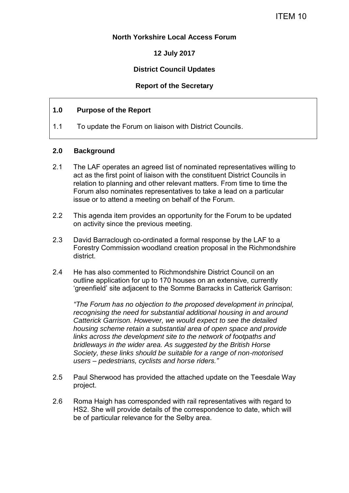# **North Yorkshire Local Access Forum**

**12 July 2017**

# **District Council Updates**

## **Report of the Secretary**

#### **1.0 Purpose of the Report**

1.1 To update the Forum on liaison with District Councils.

## **2.0 Background**

- 2.1 The LAF operates an agreed list of nominated representatives willing to act as the first point of liaison with the constituent District Councils in relation to planning and other relevant matters. From time to time the Forum also nominates representatives to take a lead on a particular issue or to attend a meeting on behalf of the Forum.
- 2.2 This agenda item provides an opportunity for the Forum to be updated on activity since the previous meeting.
- 2.3 David Barraclough co-ordinated a formal response by the LAF to a Forestry Commission woodland creation proposal in the Richmondshire district.
- 2.4 He has also commented to Richmondshire District Council on an outline application for up to 170 houses on an extensive, currently 'greenfield' site adjacent to the Somme Barracks in Catterick Garrison:

*"The Forum has no objection to the proposed development in principal, recognising the need for substantial additional housing in and around Catterick Garrison. However, we would expect to see the detailed housing scheme retain a substantial area of open space and provide links across the development site to the network of footpaths and bridleways in the wider area. As suggested by the British Horse Society, these links should be suitable for a range of non-motorised users – pedestrians, cyclists and horse riders."*

- 2.5 Paul Sherwood has provided the attached update on the Teesdale Way project.
- 2.6 Roma Haigh has corresponded with rail representatives with regard to HS2. She will provide details of the correspondence to date, which will be of particular relevance for the Selby area.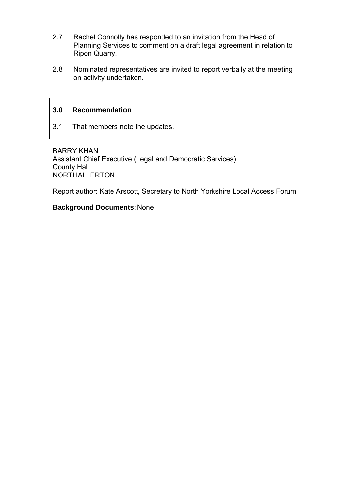- 2.7 Rachel Connolly has responded to an invitation from the Head of Planning Services to comment on a draft legal agreement in relation to Ripon Quarry.
- 2.8 Nominated representatives are invited to report verbally at the meeting on activity undertaken.

## **3.0 Recommendation**

3.1 That members note the updates.

BARRY KHAN Assistant Chief Executive (Legal and Democratic Services) County Hall NORTHALLERTON

Report author: Kate Arscott, Secretary to North Yorkshire Local Access Forum

#### **Background Documents**: None